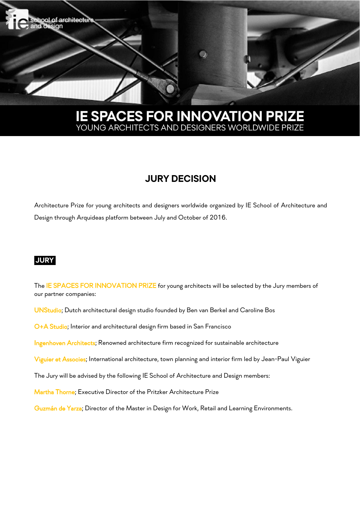

# **IE SPACES FOR INNOVATION PRIZE** YOUNG ARCHITECTS AND DESIGNERS WORLDWIDE PRIZE

# **JURY DECISION**

Architecture Prize for young architects and designers worldwide organized by IE School of Architecture and Design through Arquideas platform between July and October of 2016.

## **JURY.**

The IE SPACES FOR INNOVATION PRIZE for young architects will be selected by the Jury members of our partner companies:

UNStudio; Dutch architectural design studio founded by Ben van Berkel and Caroline Bos

O+A Studio; Interior and architectural design firm based in San Francisco

Ingenhoven Architects; Renowned architecture firm recognized for sustainable architecture

Viguier et Associes; International architecture, town planning and interior firm led by Jean-Paul Viguier

The Jury will be advised by the following IE School of Architecture and Design members:

Martha Thorne; Executive Director of the Pritzker Architecture Prize

Guzmán de Yarza; Director of the Master in Design for Work, Retail and Learning Environments.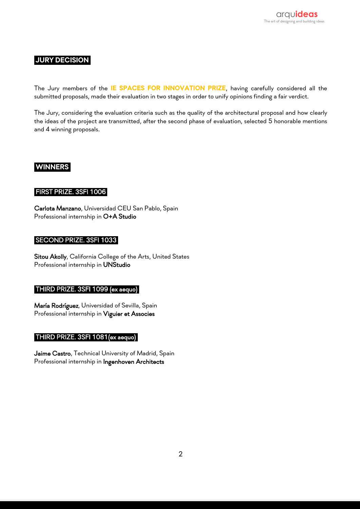# **JURY DECISION.**

The Jury members of the **IE SPACES FOR INNOVATION PRIZE**, having carefully considered all the submitted proposals, made their evaluation in two stages in order to unify opinions finding a fair verdict.

The Jury, considering the evaluation criteria such as the quality of the architectural proposal and how clearly the ideas of the project are transmitted, after the second phase of evaluation, selected 5 honorable mentions and 4 winning proposals.

### **WINNERS.**

#### FIRST PRIZE. 3SFI 1006.

Carlota Manzano, Universidad CEU San Pablo, Spain Professional internship in O+A Studio

#### SECOND PRIZE. 3SFI 1033.

Sitou Akolly, California College of the Arts, United States Professional internship in UNStudio

### THIRD PRIZE. 3SFI 1099 (ex aequo).

María Rodríguez, Universidad of Sevilla, Spain Professional internship in Viguier et Associes

#### THIRD PRIZE. 3SFI 1081(ex aequo).

Jaime Castro, Technical University of Madrid, Spain Professional internship in Ingenhoven Architects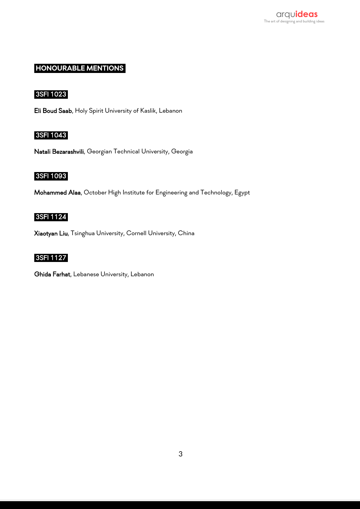

# **HONOURABLE MENTIONS.**

## 3SFI 1023.

Eli Boud Saab, Holy Spirit University of Kaslik, Lebanon

## 3SFI 1043.

Natali Bezarashvili, Georgian Technical University, Georgia

# 3SFI 1093.

Mohammed Alaa, October High Institute for Engineering and Technology, Egypt

#### 3SFI 1124.

Xiaotyan Liu, Tsinghua University, Cornell University, China

# 3SFI 1127.

Ghida Farhat, Lebanese University, Lebanon